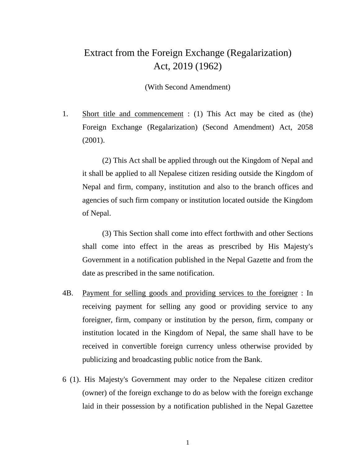## Extract from the Foreign Exchange (Regalarization) Act, 2019 (1962)

(With Second Amendment)

1. Short title and commencement : (1) This Act may be cited as (the) Foreign Exchange (Regalarization) (Second Amendment) Act, 2058 (2001).

(2) This Act shall be applied through out the Kingdom of Nepal and it shall be applied to all Nepalese citizen residing outside the Kingdom of Nepal and firm, company, institution and also to the branch offices and agencies of such firm company or institution located outside the Kingdom of Nepal.

(3) This Section shall come into effect forthwith and other Sections shall come into effect in the areas as prescribed by His Majesty's Government in a notification published in the Nepal Gazette and from the date as prescribed in the same notification.

- 4B. Payment for selling goods and providing services to the foreigner: In receiving payment for selling any good or providing service to any foreigner, firm, company or institution by the person, firm, company or institution located in the Kingdom of Nepal, the same shall have to be received in convertible foreign currency unless otherwise provided by publicizing and broadcasting public notice from the Bank.
- 6 (1). His Majesty's Government may order to the Nepalese citizen creditor (owner) of the foreign exchange to do as below with the foreign exchange laid in their possession by a notification published in the NepalGazettee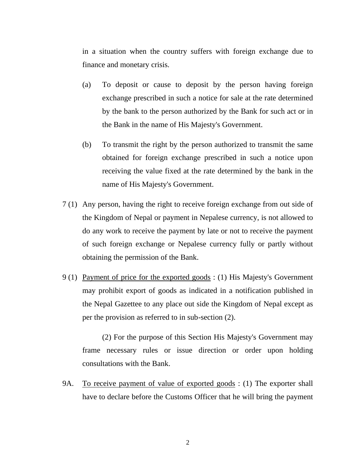in a situation when the country suffers with foreign exchange due to finance and monetary crisis.

- (a) To deposit or cause to deposit by the person having foreign exchange prescribed in such a notice for sale at the rate determined by the bank to the person authorized by the Bank for such act or in the Bank in the name of His Majesty's Government.
- (b) To transmit the right by the person authorized to transmit the same obtained for foreign exchange prescribed in such a notice upon receiving the value fixed at the rate determined by the bank in the name of His Majesty's Government.
- 7 (1) Any person, having the right to receive foreign exchange from out side of the Kingdom of Nepal or payment in Nepalese currency, is not allowed to do any work to receive the payment by late or not to receive the payment of such foreign exchange or Nepalese currency fully or partly without obtaining the permission of the Bank.
- 9 (1) Payment of price for the exported goods : (1) His Majesty's Government may prohibit export of goods as indicated in a notification published in the Nepal Gazettee to any place out side the Kingdom of Nepal except as per the provision as referred to in sub-section (2).

(2) For the purpose of this Section His Majesty's Government may frame necessary rules or issue direction or order upon holding consultations with the Bank.

9A. To receive payment of value of exported goods : (1) The exporter shall have to declare before the Customs Officer that he will bring the payment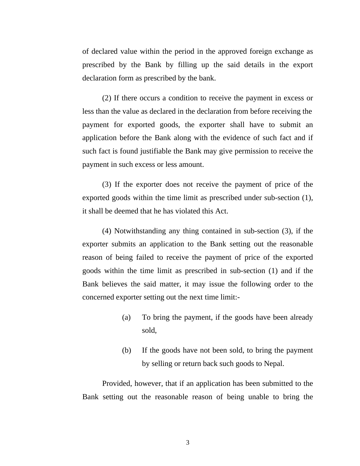of declared value within the period in the approved foreign exchange as prescribed by the Bank by filling up the said details in the export declaration form as prescribed by the bank.

(2) If there occurs a condition to receive the payment in excess or less than the value as declared in the declaration from before receiving the payment for exported goods, the exporter shall have to submit an application before the Bank along with the evidence of such fact and if such fact is found justifiable the Bank may give permission to receive the payment in such excess or less amount.

(3) If the exporter does not receive the payment of price of the exported goods within the time limit as prescribed under sub-section (1), it shall be deemed that he has violated this Act.

(4) Notwithstanding any thing contained in sub-section (3), if the exporter submits an application to the Bank setting out the reasonable reason of being failed to receive the payment of price of the exported goods within the time limit as prescribed in sub-section (1) and if the Bank believes the said matter, it may issue the following order to the concerned exporter setting out the next time limit:-

- (a) To bring the payment, if the goods have been already sold,
- (b) If the goods have not been sold, to bring the payment by selling or return back such goods to Nepal.

Provided, however, that if an application has been submitted to the Bank setting out the reasonable reason of being unable to bring the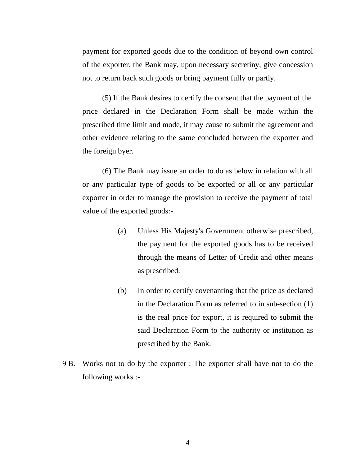payment for exported goods due to the condition of beyond own control of the exporter, the Bank may, upon necessary secretiny, give concession not to return back such goods or bring payment fully or partly.

(5) If the Bank desires to certify the consent that the payment of the price declared in the Declaration Form shall be made within the prescribed time limit and mode, it may cause to submit the agreement and other evidence relating to the same concluded between the exporter and the foreign byer.

(6) The Bank may issue an order to do as below in relation with all or any particular type of goods to be exported or all or any particular exporter in order to manage the provision to receive the payment of total value of the exported goods:-

- (a) Unless His Majesty's Government otherwise prescribed, the payment for the exported goods has to be received through the means of Letter of Credit and other means as prescribed.
- (b) In order to certify covenanting that the price as declared in the Declaration Form as referred to in sub-section (1) is the real price for export, it is required to submit the said Declaration Form to the authority or institution as prescribed by the Bank.
- 9 B. Works not to do by the exporter : The exporter shall have not to do the following works :-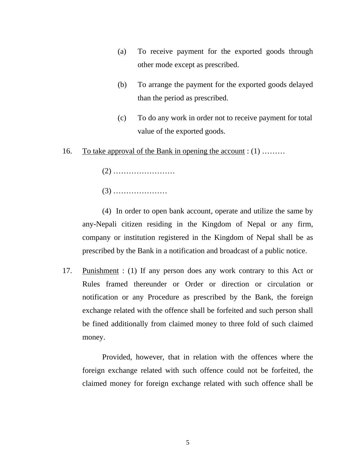- (a) To receive payment for the exported goods through other mode except as prescribed.
- (b) To arrange the payment for the exported goods delayed than the period as prescribed.
- (c) To do any work in order not to receive payment for total value of the exported goods.
- 16. To take approval of the Bank in opening the account : (1) ………
	- (2) ……………………
	- (3) …………………

(4) In order to open bank account, operate and utilize the same by any-Nepali citizen residing in the Kingdom of Nepal or any firm, company or institution registered in the Kingdom of Nepal shall be as prescribed by the Bank in a notification and broadcast of a public notice.

17. Punishment : (1) If any person does any work contrary to this Act or Rules framed thereunder or Order or direction or circulation or notification or any Procedure as prescribed by the Bank, the foreign exchange related with the offence shall be forfeited and such person shall be fined additionally from claimed money to three fold of such claimed money.

Provided, however, that in relation with the offences where the foreign exchange related with such offence could not be forfeited, the claimed money for foreign exchange related with such offence shall be